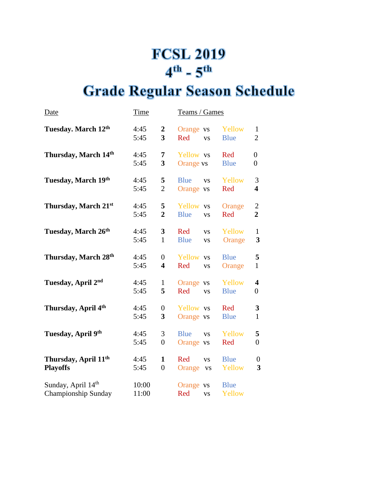## **FCSL 2019**  $4^{\text{th}}$  -  $5^{\text{th}}$

## **Grade Regular Season Schedule**

| <u>Date</u>                                         | <u>Time</u>    |                                             | Teams / Games                                        |                       |                                             |
|-----------------------------------------------------|----------------|---------------------------------------------|------------------------------------------------------|-----------------------|---------------------------------------------|
| Tuesday. March 12th                                 | 4:45<br>5:45   | $\boldsymbol{2}$<br>$\overline{\mathbf{3}}$ | Orange vs<br>Red<br><b>VS</b>                        | Yellow<br><b>Blue</b> | $\mathbf{1}$<br>$\overline{2}$              |
| Thursday, March 14th                                | 4:45<br>5:45   | 7<br>3                                      | Yellow vs<br>Orange vs                               | Red<br><b>Blue</b>    | $\overline{0}$<br>$\overline{0}$            |
| Tuesday, March 19th                                 | 4:45<br>5:45   | 5<br>$\overline{2}$                         | <b>Blue</b><br><b>VS</b><br>Orange vs                | Yellow<br>Red         | 3<br>$\overline{\mathbf{4}}$                |
| Thursday, March 21st                                | 4:45<br>5:45   | 5<br>$\overline{2}$                         | Yellow vs<br><b>Blue</b><br><b>VS</b>                | Orange<br>Red         | $\mathbf{2}$<br>$\overline{2}$              |
| Tuesday, March 26th                                 | 4:45<br>5:45   | $\overline{\mathbf{3}}$<br>$\mathbf{1}$     | Red<br><b>VS</b><br><b>Blue</b><br><b>VS</b>         | Yellow<br>Orange      | $\mathbf{1}$<br>3                           |
| Thursday, March 28th                                | 4:45<br>5:45   | $\overline{0}$<br>$\overline{\mathbf{4}}$   | Yellow vs<br>Red<br><b>VS</b>                        | <b>Blue</b><br>Orange | 5<br>$\mathbf{1}$                           |
| Tuesday, April 2nd                                  | 4:45<br>5:45   | $\mathbf{1}$<br>5                           | Orange vs<br>Red<br><b>VS</b>                        | Yellow<br><b>Blue</b> | $\overline{\mathbf{4}}$<br>$\boldsymbol{0}$ |
| Thursday, April 4th                                 | 4:45<br>5:45   | $\overline{0}$<br>3                         | Yellow vs<br>Orange vs                               | Red<br><b>Blue</b>    | 3<br>$\mathbf{1}$                           |
| Tuesday, April 9th                                  | 4:45<br>5:45   | 3<br>$\overline{0}$                         | <b>Blue</b><br><b>VS</b><br>Orange vs                | Yellow<br>Red         | 5<br>$\overline{0}$                         |
| Thursday, April 11 <sup>th</sup><br><b>Playoffs</b> | 4:45<br>5:45   | $\mathbf{1}$<br>$\overline{0}$              | Red<br><b>VS</b><br>Orange<br>$\mathbf{V}\mathbf{S}$ | <b>Blue</b><br>Yellow | $\boldsymbol{0}$<br>3                       |
| Sunday, April 14th<br>Championship Sunday           | 10:00<br>11:00 |                                             | Orange vs<br>Red<br><b>VS</b>                        | <b>Blue</b><br>Yellow |                                             |